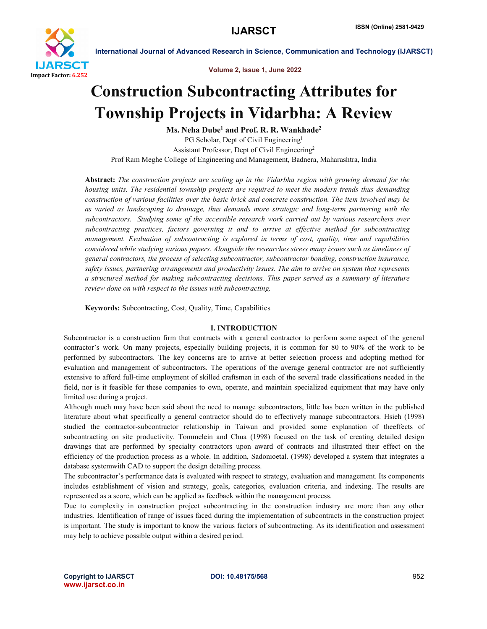

Volume 2, Issue 1, June 2022

# Construction Subcontracting Attributes for Township Projects in Vidarbha: A Review

Ms. Neha Dube<sup>1</sup> and Prof. R. R. Wankhade<sup>2</sup> PG Scholar, Dept of Civil Engineering<sup>1</sup> Assistant Professor, Dept of Civil Engineering2 Prof Ram Meghe College of Engineering and Management, Badnera, Maharashtra, India

Abstract: *The construction projects are scaling up in the Vidarbha region with growing demand for the housing units. The residential township projects are required to meet the modern trends thus demanding construction of various facilities over the basic brick and concrete construction. The item involved may be as varied as landscaping to drainage, thus demands more strategic and long-term partnering with the subcontractors. Studying some of the accessible research work carried out by various researchers over subcontracting practices, factors governing it and to arrive at effective method for subcontracting management. Evaluation of subcontracting is explored in terms of cost, quality, time and capabilities considered while studying various papers. Alongside the researches stress many issues such as timeliness of general contractors, the process of selecting subcontractor, subcontractor bonding, construction insurance, safety issues, partnering arrangements and productivity issues. The aim to arrive on system that represents a structured method for making subcontracting decisions. This paper served as a summary of literature review done on with respect to the issues with subcontracting.*

Keywords: Subcontracting, Cost, Quality, Time, Capabilities

# I. INTRODUCTION

Subcontractor is a construction firm that contracts with a general contractor to perform some aspect of the general contractor's work. On many projects, especially building projects, it is common for 80 to 90% of the work to be performed by subcontractors. The key concerns are to arrive at better selection process and adopting method for evaluation and management of subcontractors. The operations of the average general contractor are not sufficiently extensive to afford full-time employment of skilled craftsmen in each of the several trade classifications needed in the field, nor is it feasible for these companies to own, operate, and maintain specialized equipment that may have only limited use during a project.

Although much may have been said about the need to manage subcontractors, little has been written in the published literature about what specifically a general contractor should do to effectively manage subcontractors. Hsieh (1998) studied the contractor-subcontractor relationship in Taiwan and provided some explanation of theeffects of subcontracting on site productivity. Tommelein and Chua (1998) focused on the task of creating detailed design drawings that are performed by specialty contractors upon award of contracts and illustrated their effect on the efficiency of the production process as a whole. In addition, Sadonioetal. (1998) developed a system that integrates a database systemwith CAD to support the design detailing process.

The subcontractor's performance data is evaluated with respect to strategy, evaluation and management. Its components includes establishment of vision and strategy, goals, categories, evaluation criteria, and indexing. The results are represented as a score, which can be applied as feedback within the management process.

Due to complexity in construction project subcontracting in the construction industry are more than any other industries. Identification of range of issues faced during the implementation of subcontracts in the construction project is important. The study is important to know the various factors of subcontracting. As its identification and assessment may help to achieve possible output within a desired period.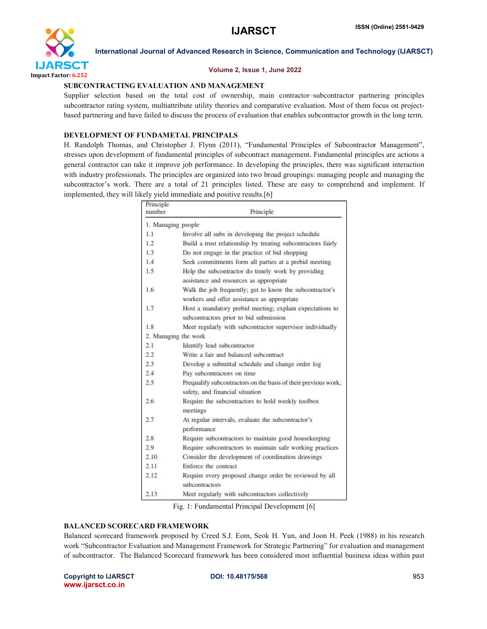

# Volume 2, Issue 1, June 2022

# SUBCONTRACTING EVALUATION AND MANAGEMENT

Supplier selection based on the total cost of ownership, main contractor–subcontractor partnering principles subcontractor rating system, multiattribute utility theories and comparative evaluation. Most of them focus on projectbased partnering and have failed to discuss the process of evaluation that enables subcontractor growth in the long term.

# DEVELOPMENT OF FUNDAMETAL PRINCIPALS

H. Randolph Thomas, and Christopher J. Flynn (2011), "Fundamental Principles of Subcontractor Management", stresses upon development of fundamental principles of subcontract management. Fundamental principles are actions a general contractor can take it improve job performance. In developing the principles, there was significant interaction with industry professionals. The principles are organized into two broad groupings: managing people and managing the subcontractor's work. There are a total of 21 principles listed. These are easy to comprehend and implement. If implemented, they will likely yield immediate and positive results.[6]

| Principle<br>number | Principle                                                                                               |
|---------------------|---------------------------------------------------------------------------------------------------------|
| 1. Managing people  |                                                                                                         |
| 1.1                 | Involve all subs in developing the project schedule                                                     |
| 12                  | Build a trust relationship by treating subcontractors fairly                                            |
| 1.3                 | Do not engage in the practice of bid shopping                                                           |
| 14                  | Seek commitments form all parties at a prebid meeting                                                   |
| 1.5                 | Help the subcontractor do timely work by providing<br>assistance and resources as appropriate           |
| 1.6                 | Walk the job frequently; get to know the subcontractor's<br>workers and offer assistance as appropriate |
| 1.7                 | Host a mandatory prebid meeting; explain expectations to<br>subcontractors prior to bid submission      |
| 1.8                 | Meet regularly with subcontractor supervisor individually                                               |
|                     | 2. Managing the work                                                                                    |
| 2.1                 | Identify lead subcontractor                                                                             |
| 2.2                 | Write a fair and halanced subcontract                                                                   |
| 2.3                 | Develop a submittal schedule and change order log                                                       |
| 2.4                 | Pay subcontractors on time                                                                              |
| 2.5                 | Prequalify subcontractors on the basis of their previous work,<br>safety, and financial situation       |
| 2.6                 | Require the subcontractors to hold weekly toolbox<br>meetings                                           |
| 2.7                 | At regular intervals, evaluate the subcontractor's<br>performance                                       |
| 2.8                 | Require subcontractors to maintain good housekeeping                                                    |
| 2.9                 | Require subcontractors to maintain safe working practices                                               |
| 2.10                | Consider the development of coordination drawings                                                       |
| 2.11                | Enforce the contract                                                                                    |
| 2.12                | Require every proposed change order be reviewed by all<br>subcontractors                                |
| 2.13                | Meet regularly with subcontractors collectively                                                         |

Fig. 1: Fundamental Principal Development [6]

# BALANCED SCORECARD FRAMEWORK

Balanced scorecard framework proposed by Creed S.J. Eom, Seok H. Yun, and Joon H. Peek (1988) in his research work "Subcontractor Evaluation and Management Framework for Strategic Partnering" for evaluation and management of subcontractor. The Balanced Scorecard framework has been considered most influential business ideas within past

Copyright to IJARSCT **DOI: 10.48175/568** 953 www.ijarsct.co.in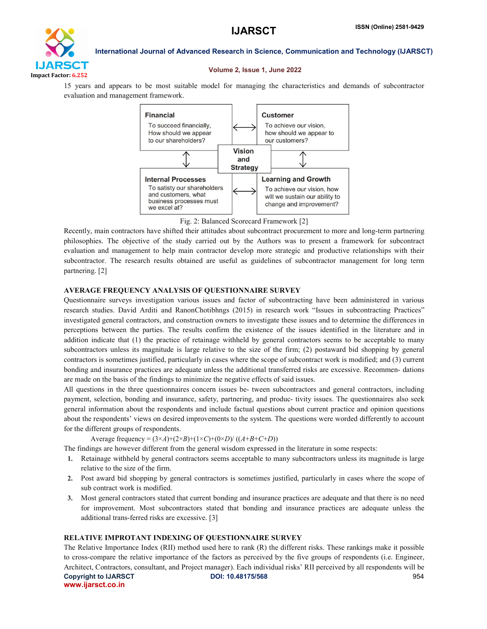

### Volume 2, Issue 1, June 2022

15 years and appears to be most suitable model for managing the characteristics and demands of subcontractor evaluation and management framework.



Fig. 2: Balanced Scorecard Framework [2]

Recently, main contractors have shifted their attitudes about subcontract procurement to more and long-term partnering philosophies. The objective of the study carried out by the Authors was to present a framework for subcontract evaluation and management to help main contractor develop more strategic and productive relationships with their subcontractor. The research results obtained are useful as guidelines of subcontractor management for long term partnering. [2]

### AVERAGE FREQUENCY ANALYSIS OF QUESTIONNAIRE SURVEY

Questionnaire surveys investigation various issues and factor of subcontracting have been administered in various research studies. David Arditi and RanonChotibhngs (2015) in research work "Issues in subcontracting Practices" investigated general contractors, and construction owners to investigate these issues and to determine the differences in perceptions between the parties. The results confirm the existence of the issues identified in the literature and in addition indicate that (1) the practice of retainage withheld by general contractors seems to be acceptable to many subcontractors unless its magnitude is large relative to the size of the firm; (2) postaward bid shopping by general contractors is sometimes justified, particularly in cases where the scope of subcontract work is modified; and (3) current bonding and insurance practices are adequate unless the additional transferred risks are excessive. Recommen- dations are made on the basis of the findings to minimize the negative effects of said issues.

All questions in the three questionnaires concern issues be- tween subcontractors and general contractors, including payment, selection, bonding and insurance, safety, partnering, and produc- tivity issues. The questionnaires also seek general information about the respondents and include factual questions about current practice and opinion questions about the respondents' views on desired improvements to the system. The questions were worded differently to account for the different groups of respondents.

Average frequency =  $(3 \times A) + (2 \times B) + (1 \times C) + (0 \times D) / ((A + B + C + D))$ 

The findings are however different from the general wisdom expressed in the literature in some respects:

- 1. Retainage withheld by general contractors seems acceptable to many subcontractors unless its magnitude is large relative to the size of the firm.
- 2. Post award bid shopping by general contractors is sometimes justified, particularly in cases where the scope of sub contract work is modified.
- 3. Most general contractors stated that current bonding and insurance practices are adequate and that there is no need for improvement. Most subcontractors stated that bonding and insurance practices are adequate unless the additional trans-ferred risks are excessive. [3]

# RELATIVE IMPROTANT INDEXING OF QUESTIONNAIRE SURVEY

Copyright to IJARSCT **DOI: 10.48175/568** 954 www.ijarsct.co.in The Relative Importance Index (RII) method used here to rank (R) the different risks. These rankings make it possible to cross-compare the relative importance of the factors as perceived by the five groups of respondents (i.e. Engineer, Architect, Contractors, consultant, and Project manager). Each individual risks' RII perceived by all respondents will be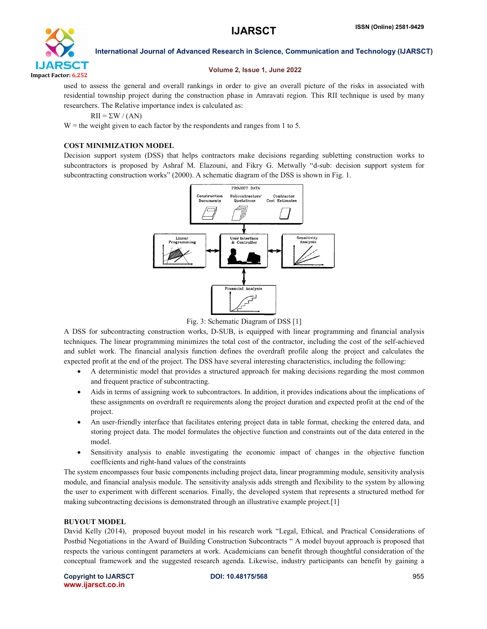

# Volume 2, Issue 1, June 2022

used to assess the general and overall rankings in order to give an overall picture of the risks in associated with residential township project during the construction phase in Amravati region. This RII technique is used by many researchers. The Relative importance index is calculated as:

 $RII = \Sigma W / (AN)$ 

 $W =$  the weight given to each factor by the respondents and ranges from 1 to 5.

# COST MINIMIZATION MODEL

Decision support system (DSS) that helps contractors make decisions regarding subletting construction works to subcontractors is proposed by Ashraf M. Elazouni, and Fikry G. Metwally "d-sub: decision support system for subcontracting construction works" (2000). A schematic diagram of the DSS is shown in Fig. 1.



Fig. 3: Schematic Diagram of DSS [1]

A DSS for subcontracting construction works, D-SUB, is equipped with linear programming and financial analysis techniques. The linear programming minimizes the total cost of the contractor, including the cost of the self-achieved and sublet work. The financial analysis function defines the overdraft profile along the project and calculates the expected profit at the end of the project. The DSS have several interesting characteristics, including the following:

- A deterministic model that provides a structured approach for making decisions regarding the most common and frequent practice of subcontracting.
- Aids in terms of assigning work to subcontractors. In addition, it provides indications about the implications of these assignments on overdraft re requirements along the project duration and expected profit at the end of the project.
- An user-friendly interface that facilitates entering project data in table format, checking the entered data, and storing project data. The model formulates the objective function and constraints out of the data entered in the model.
- Sensitivity analysis to enable investigating the economic impact of changes in the objective function coefficients and right-hand values of the constraints

The system encompasses four basic components including project data, linear programming module, sensitivity analysis module, and financial analysis module. The sensitivity analysis adds strength and flexibility to the system by allowing the user to experiment with different scenarios. Finally, the developed system that represents a structured method for making subcontracting decisions is demonstrated through an illustrative example project.[1]

# BUYOUT MODEL

David Kelly (2014), proposed buyout model in his research work "Legal, Ethical, and Practical Considerations of Postbid Negotiations in the Award of Building Construction Subcontracts " A model buyout approach is proposed that respects the various contingent parameters at work. Academicians can benefit through thoughtful consideration of the conceptual framework and the suggested research agenda. Likewise, industry participants can benefit by gaining a

Copyright to IJARSCT **DOI: 10.48175/568** 955 www.ijarsct.co.in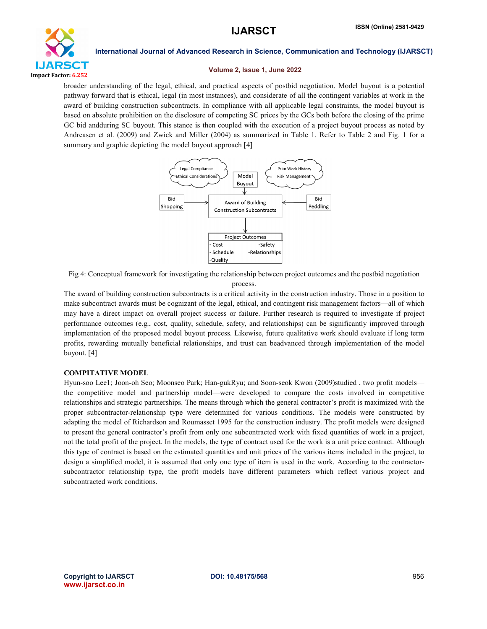

### Volume 2, Issue 1, June 2022

broader understanding of the legal, ethical, and practical aspects of postbid negotiation. Model buyout is a potential pathway forward that is ethical, legal (in most instances), and considerate of all the contingent variables at work in the award of building construction subcontracts. In compliance with all applicable legal constraints, the model buyout is based on absolute prohibition on the disclosure of competing SC prices by the GCs both before the closing of the prime GC bid andduring SC buyout. This stance is then coupled with the execution of a project buyout process as noted by Andreasen et al. (2009) and Zwick and Miller (2004) as summarized in Table 1. Refer to Table 2 and Fig. 1 for a summary and graphic depicting the model buyout approach [4]



Fig 4: Conceptual framework for investigating the relationship between project outcomes and the postbid negotiation process.

The award of building construction subcontracts is a critical activity in the construction industry. Those in a position to make subcontract awards must be cognizant of the legal, ethical, and contingent risk management factors—all of which may have a direct impact on overall project success or failure. Further research is required to investigate if project performance outcomes (e.g., cost, quality, schedule, safety, and relationships) can be significantly improved through implementation of the proposed model buyout process. Likewise, future qualitative work should evaluate if long term profits, rewarding mutually beneficial relationships, and trust can beadvanced through implementation of the model buyout. [4]

# COMPITATIVE MODEL

Hyun-soo Lee1; Joon-oh Seo; Moonseo Park; Han-gukRyu; and Soon-seok Kwon (2009)studied , two profit models the competitive model and partnership model—were developed to compare the costs involved in competitive relationships and strategic partnerships. The means through which the general contractor's profit is maximized with the proper subcontractor-relationship type were determined for various conditions. The models were constructed by adapting the model of Richardson and Roumasset 1995 for the construction industry. The profit models were designed to present the general contractor's profit from only one subcontracted work with fixed quantities of work in a project, not the total profit of the project. In the models, the type of contract used for the work is a unit price contract. Although this type of contract is based on the estimated quantities and unit prices of the various items included in the project, to design a simplified model, it is assumed that only one type of item is used in the work. According to the contractorsubcontractor relationship type, the profit models have different parameters which reflect various project and subcontracted work conditions.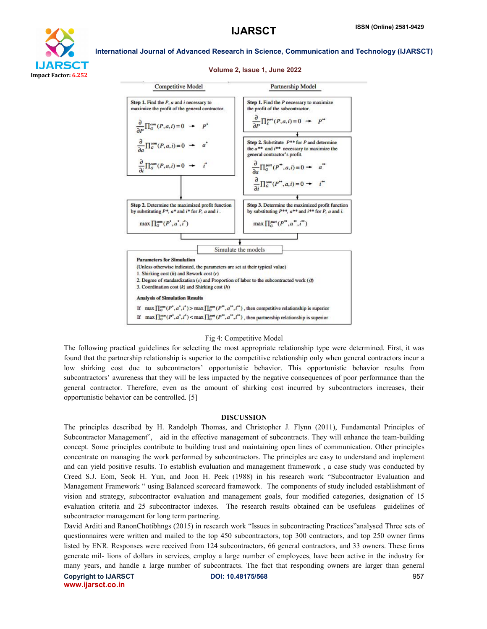

### Volume 2, Issue 1, June 2022



### Fig 4: Competitive Model

The following practical guidelines for selecting the most appropriate relationship type were determined. First, it was found that the partnership relationship is superior to the competitive relationship only when general contractors incur a low shirking cost due to subcontractors' opportunistic behavior. This opportunistic behavior results from subcontractors' awareness that they will be less impacted by the negative consequences of poor performance than the general contractor. Therefore, even as the amount of shirking cost incurred by subcontractors increases, their opportunistic behavior can be controlled. [5]

### DISCUSSION

The principles described by H. Randolph Thomas, and Christopher J. Flynn (2011), Fundamental Principles of Subcontractor Management", aid in the effective management of subcontracts. They will enhance the team-building concept. Some principles contribute to building trust and maintaining open lines of communication. Other principles concentrate on managing the work performed by subcontractors. The principles are easy to understand and implement and can yield positive results. To establish evaluation and management framework , a case study was conducted by Creed S.J. Eom, Seok H. Yun, and Joon H. Peek (1988) in his research work "Subcontractor Evaluation and Management Framework " using Balanced scorecard framework. The components of study included establishment of vision and strategy, subcontractor evaluation and management goals, four modified categories, designation of 15 evaluation criteria and 25 subcontractor indexes. The research results obtained can be usefuleas guidelines of subcontractor management for long term partnering.

David Arditi and RanonChotibhngs (2015) in research work "Issues in subcontracting Practices"analysed Three sets of questionnaires were written and mailed to the top 450 subcontractors, top 300 contractors, and top 250 owner firms listed by ENR. Responses were received from 124 subcontractors, 66 general contractors, and 33 owners. These firms generate mil- lions of dollars in services, employ a large number of employees, have been active in the industry for many years, and handle a large number of subcontracts. The fact that responding owners are larger than general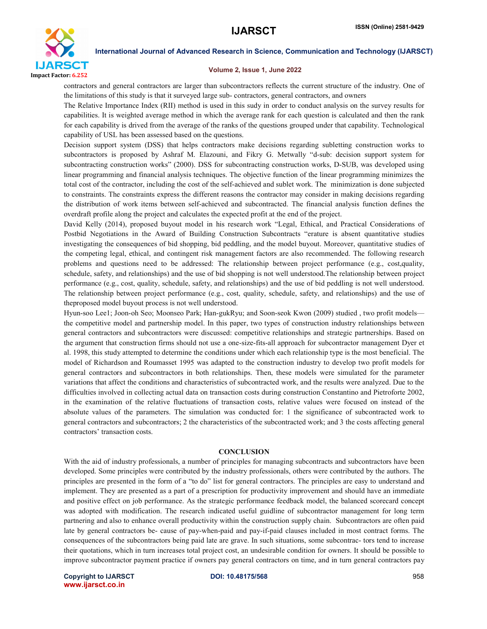

### Volume 2, Issue 1, June 2022

contractors and general contractors are larger than subcontractors reflects the current structure of the industry. One of the limitations of this study is that it surveyed large sub- contractors, general contractors, and owners

The Relative Importance Index (RII) method is used in this sudy in order to conduct analysis on the survey results for capabilities. It is weighted average method in which the average rank for each question is calculated and then the rank for each capability is drived from the average of the ranks of the questions grouped under that capability. Technological capability of USL has been assessed based on the questions.

Decision support system (DSS) that helps contractors make decisions regarding subletting construction works to subcontractors is proposed by Ashraf M. Elazouni, and Fikry G. Metwally "d-sub: decision support system for subcontracting construction works" (2000). DSS for subcontracting construction works, D-SUB, was developed using linear programming and financial analysis techniques. The objective function of the linear programming minimizes the total cost of the contractor, including the cost of the self-achieved and sublet work. The minimization is done subjected to constraints. The constraints express the different reasons the contractor may consider in making decisions regarding the distribution of work items between self-achieved and subcontracted. The financial analysis function defines the overdraft profile along the project and calculates the expected profit at the end of the project.

David Kelly (2014), proposed buyout model in his research work "Legal, Ethical, and Practical Considerations of Postbid Negotiations in the Award of Building Construction Subcontracts "erature is absent quantitative studies investigating the consequences of bid shopping, bid peddling, and the model buyout. Moreover, quantitative studies of the competing legal, ethical, and contingent risk management factors are also recommended. The following research problems and questions need to be addressed: The relationship between project performance (e.g., cost,quality, schedule, safety, and relationships) and the use of bid shopping is not well understood.The relationship between project performance (e.g., cost, quality, schedule, safety, and relationships) and the use of bid peddling is not well understood. The relationship between project performance (e.g., cost, quality, schedule, safety, and relationships) and the use of theproposed model buyout process is not well understood.

Hyun-soo Lee1; Joon-oh Seo; Moonseo Park; Han-gukRyu; and Soon-seok Kwon (2009) studied , two profit models the competitive model and partnership model. In this paper, two types of construction industry relationships between general contractors and subcontractors were discussed: competitive relationships and strategic partnerships. Based on the argument that construction firms should not use a one-size-fits-all approach for subcontractor management Dyer et al. 1998, this study attempted to determine the conditions under which each relationship type is the most beneficial. The model of Richardson and Roumasset 1995 was adapted to the construction industry to develop two profit models for general contractors and subcontractors in both relationships. Then, these models were simulated for the parameter variations that affect the conditions and characteristics of subcontracted work, and the results were analyzed. Due to the difficulties involved in collecting actual data on transaction costs during construction Constantino and Pietroforte 2002, in the examination of the relative fluctuations of transaction costs, relative values were focused on instead of the absolute values of the parameters. The simulation was conducted for: 1 the significance of subcontracted work to general contractors and subcontractors; 2 the characteristics of the subcontracted work; and 3 the costs affecting general contractors' transaction costs.

### **CONCLUSION**

With the aid of industry professionals, a number of principles for managing subcontracts and subcontractors have been developed. Some principles were contributed by the industry professionals, others were contributed by the authors. The principles are presented in the form of a "to do" list for general contractors. The principles are easy to understand and implement. They are presented as a part of a prescription for productivity improvement and should have an immediate and positive effect on job performance. As the strategic performance feedback model, the balanced scorecard concept was adopted with modification. The research indicated useful guidline of subcontractor management for long term partnering and also to enhance overall productivity within the construction supply chain. Subcontractors are often paid late by general contractors be- cause of pay-when-paid and pay-if-paid clauses included in most contract forms. The consequences of the subcontractors being paid late are grave. In such situations, some subcontrac- tors tend to increase their quotations, which in turn increases total project cost, an undesirable condition for owners. It should be possible to improve subcontractor payment practice if owners pay general contractors on time, and in turn general contractors pay

Copyright to IJARSCT **DOI: 10.48175/568** 958 www.ijarsct.co.in